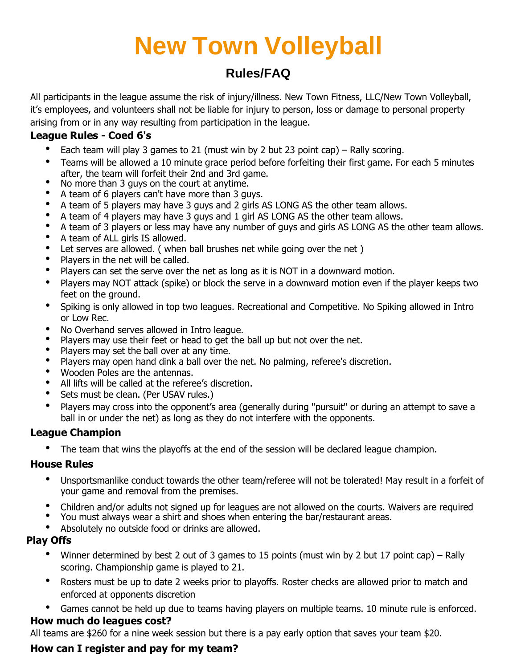# **New Town Volleyball**

# **Rules/FAQ**

All participants in the league assume the risk of injury/illness. New Town Fitness, LLC/New Town Volleyball, it's employees, and volunteers shall not be liable for injury to person, loss or damage to personal property arising from or in any way resulting from participation in the league.

# **League Rules - Coed 6's**

- Each team will play 3 games to 21 (must win by 2 but 23 point cap) Rally scoring.
- Teams will be allowed a 10 minute grace period before forfeiting their first game. For each 5 minutes after, the team will forfeit their 2nd and 3rd game.
- No more than 3 guys on the court at anytime.
- A team of 6 players can't have more than 3 guys.
- A team of 5 players may have 3 guys and 2 girls AS LONG AS the other team allows.
- A team of 4 players may have 3 guys and 1 girl AS LONG AS the other team allows.
- A team of 3 players or less may have any number of guys and girls AS LONG AS the other team allows.
- A team of ALL girls IS allowed.
- Let serves are allowed. ( when ball brushes net while going over the net )
- Players in the net will be called.
- Players can set the serve over the net as long as it is NOT in a downward motion.
- Players may NOT attack (spike) or block the serve in a downward motion even if the player keeps two feet on the ground.
- Spiking is only allowed in top two leagues. Recreational and Competitive. No Spiking allowed in Intro or Low Rec.
- No Overhand serves allowed in Intro league.
- Players may use their feet or head to get the ball up but not over the net.
- Players may set the ball over at any time.
- Players may open hand dink a ball over the net. No palming, referee's discretion.
- Wooden Poles are the antennas.
- All lifts will be called at the referee's discretion.
- Sets must be clean. (Per USAV rules.)
- Players may cross into the opponent's area (generally during "pursuit" or during an attempt to save a ball in or under the net) as long as they do not interfere with the opponents.

# **League Champion**

• The team that wins the playoffs at the end of the session will be declared league champion.

## **House Rules**

- Unsportsmanlike conduct towards the other team/referee will not be tolerated! May result in a forfeit of your game and removal from the premises.
- Children and/or adults not signed up for leagues are not allowed on the courts. Waivers are required
- You must always wear a shirt and shoes when entering the bar/restaurant areas.
- Absolutely no outside food or drinks are allowed.

## **Play Offs**

- Winner determined by best 2 out of 3 games to 15 points (must win by 2 but 17 point cap) Rally scoring. Championship game is played to 21.
- Rosters must be up to date 2 weeks prior to playoffs. Roster checks are allowed prior to match and enforced at opponents discretion
- Games cannot be held up due to teams having players on multiple teams. 10 minute rule is enforced. **How much do leagues cost?**

All teams are \$260 for a nine week session but there is a pay early option that saves your team \$20.

# **How can I register and pay for my team?**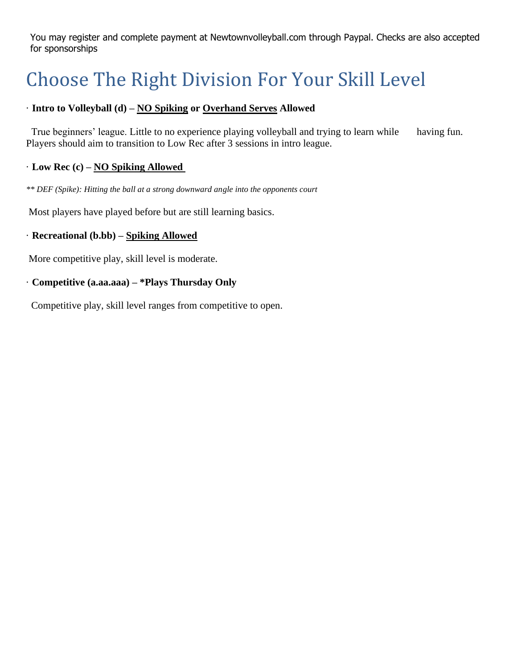You may register and complete payment at Newtownvolleyball.com through Paypal. Checks are also accepted for sponsorships

# Choose The Right Division For Your Skill Level

# · **Intro to Volleyball (d) – NO Spiking or Overhand Serves Allowed**

True beginners' league. Little to no experience playing volleyball and trying to learn while having fun. Players should aim to transition to Low Rec after 3 sessions in intro league.

### · **Low Rec (c) – NO Spiking Allowed**

*\*\* DEF (Spike): Hitting the ball at a strong downward angle into the opponents court*

Most players have played before but are still learning basics.

### · **Recreational (b.bb) – Spiking Allowed**

More competitive play, skill level is moderate.

#### · **Competitive (a.aa.aaa) – \*Plays Thursday Only**

Competitive play, skill level ranges from competitive to open.